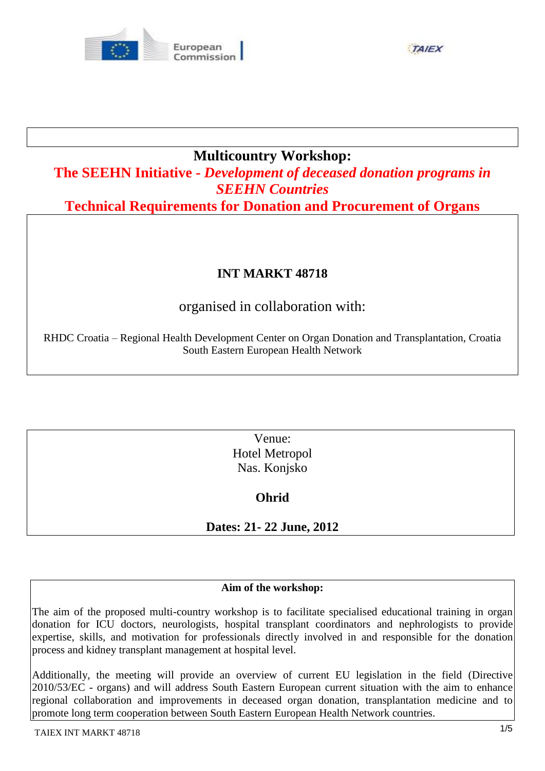

**TAIEX** 

### **Multicountry Workshop:**

**The SEEHN Initiative -** *Development of deceased donation programs in SEEHN Countries*

**Technical Requirements for Donation and Procurement of Organs** 

### **INT MARKT 48718**

## organised in collaboration with:

RHDC Croatia – Regional Health Development Center on Organ Donation and Transplantation, Croatia South Eastern European Health Network

> Venue: Hotel Metropol Nas. Konjsko

> > **Ohrid**

**Dates: 21- 22 June, 2012** 

#### **Aim of the workshop:**

The aim of the proposed multi-country workshop is to facilitate specialised educational training in organ donation for ICU doctors, neurologists, hospital transplant coordinators and nephrologists to provide expertise, skills, and motivation for professionals directly involved in and responsible for the donation process and kidney transplant management at hospital level.

Additionally, the meeting will provide an overview of current EU legislation in the field (Directive 2010/53/EC - organs) and will address South Eastern European current situation with the aim to enhance regional collaboration and improvements in deceased organ donation, transplantation medicine and to promote long term cooperation between South Eastern European Health Network countries.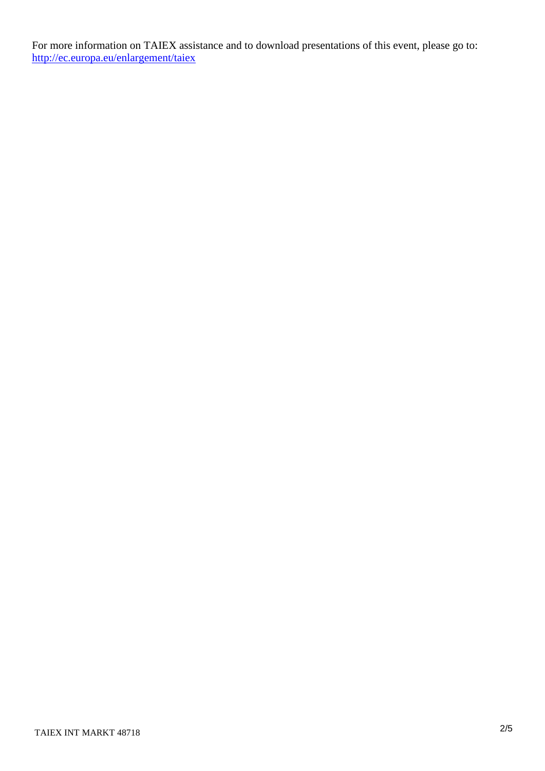For more information on TAIEX assistance and to download presentations of this event, please go to: <http://ec.europa.eu/enlargement/taiex>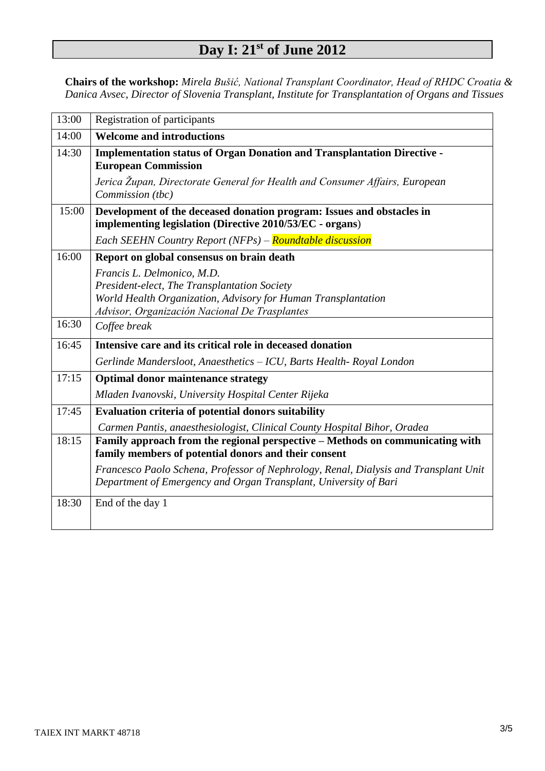# **Day I: 21st of June 2012**

**Chairs of the workshop:** *Mirela Bušić, National Transplant Coordinator, Head of RHDC Croatia & Danica Avsec, Director of Slovenia Transplant, Institute for Transplantation of Organs and Tissues*

| 13:00 | <b>Registration of participants</b>                                                                                                                      |
|-------|----------------------------------------------------------------------------------------------------------------------------------------------------------|
| 14:00 | <b>Welcome and introductions</b>                                                                                                                         |
| 14:30 | <b>Implementation status of Organ Donation and Transplantation Directive -</b>                                                                           |
|       | <b>European Commission</b>                                                                                                                               |
|       | Jerica Župan, Directorate General for Health and Consumer Affairs, European<br>Commission (tbc)                                                          |
| 15:00 | Development of the deceased donation program: Issues and obstacles in<br>implementing legislation (Directive 2010/53/EC - organs)                        |
|       | Each SEEHN Country Report (NFPs) - Roundtable discussion                                                                                                 |
| 16:00 | Report on global consensus on brain death                                                                                                                |
|       | Francis L. Delmonico, M.D.                                                                                                                               |
|       | President-elect, The Transplantation Society                                                                                                             |
|       | World Health Organization, Advisory for Human Transplantation                                                                                            |
|       | Advisor, Organización Nacional De Trasplantes                                                                                                            |
| 16:30 | Coffee break                                                                                                                                             |
| 16:45 | Intensive care and its critical role in deceased donation                                                                                                |
|       | Gerlinde Mandersloot, Anaesthetics - ICU, Barts Health- Royal London                                                                                     |
| 17:15 | <b>Optimal donor maintenance strategy</b>                                                                                                                |
|       | Mladen Ivanovski, University Hospital Center Rijeka                                                                                                      |
| 17:45 | Evaluation criteria of potential donors suitability                                                                                                      |
|       | Carmen Pantis, anaesthesiologist, Clinical County Hospital Bihor, Oradea                                                                                 |
| 18:15 | Family approach from the regional perspective - Methods on communicating with<br>family members of potential donors and their consent                    |
|       | Francesco Paolo Schena, Professor of Nephrology, Renal, Dialysis and Transplant Unit<br>Department of Emergency and Organ Transplant, University of Bari |
| 18:30 | End of the day 1                                                                                                                                         |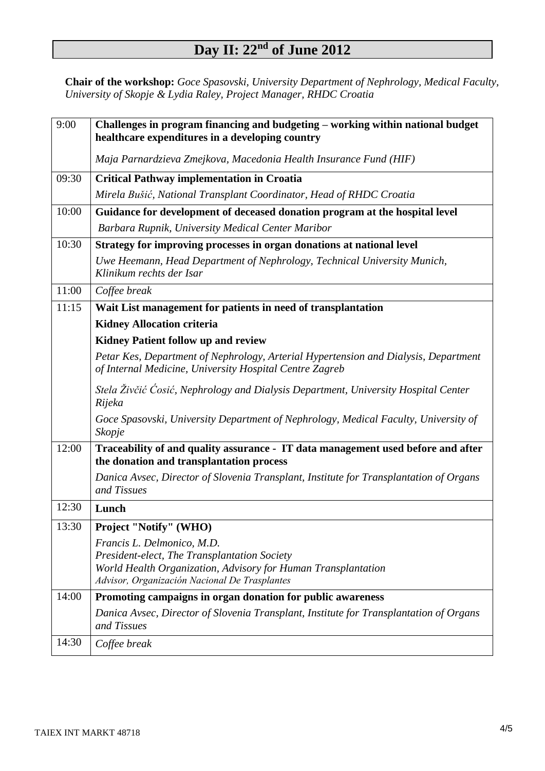## **Day II: 22nd of June 2012**

**Chair of the workshop:** *Goce Spasovski, University Department of Nephrology, Medical Faculty, University of Skopje & Lydia Raley, Project Manager, RHDC Croatia* 

| 9:00  | Challenges in program financing and budgeting – working within national budget<br>healthcare expenditures in a developing country              |
|-------|------------------------------------------------------------------------------------------------------------------------------------------------|
|       | Maja Parnardzieva Zmejkova, Macedonia Health Insurance Fund (HIF)                                                                              |
| 09:30 | <b>Critical Pathway implementation in Croatia</b>                                                                                              |
|       | Mirela Bušić, National Transplant Coordinator, Head of RHDC Croatia                                                                            |
| 10:00 | Guidance for development of deceased donation program at the hospital level                                                                    |
|       | Barbara Rupnik, University Medical Center Maribor                                                                                              |
| 10:30 | Strategy for improving processes in organ donations at national level                                                                          |
|       | Uwe Heemann, Head Department of Nephrology, Technical University Munich,<br>Klinikum rechts der Isar                                           |
| 11:00 | Coffee break                                                                                                                                   |
| 11:15 | Wait List management for patients in need of transplantation                                                                                   |
|       | <b>Kidney Allocation criteria</b>                                                                                                              |
|       | <b>Kidney Patient follow up and review</b>                                                                                                     |
|       | Petar Kes, Department of Nephrology, Arterial Hypertension and Dialysis, Department<br>of Internal Medicine, University Hospital Centre Zagreb |
|       | Stela Živčić Ćosić, Nephrology and Dialysis Department, University Hospital Center<br>Rijeka                                                   |
|       | Goce Spasovski, University Department of Nephrology, Medical Faculty, University of<br>Skopje                                                  |
| 12:00 | Traceability of and quality assurance - IT data management used before and after<br>the donation and transplantation process                   |
|       | Danica Avsec, Director of Slovenia Transplant, Institute for Transplantation of Organs<br>and Tissues                                          |
| 12:30 | Lunch                                                                                                                                          |
| 13:30 | <b>Project "Notify" (WHO)</b>                                                                                                                  |
|       | Francis L. Delmonico, M.D.<br>President-elect, The Transplantation Society                                                                     |
|       | World Health Organization, Advisory for Human Transplantation<br>Advisor, Organización Nacional De Trasplantes                                 |
| 14:00 | Promoting campaigns in organ donation for public awareness                                                                                     |
|       | Danica Avsec, Director of Slovenia Transplant, Institute for Transplantation of Organs<br>and Tissues                                          |
| 14:30 | Coffee break                                                                                                                                   |